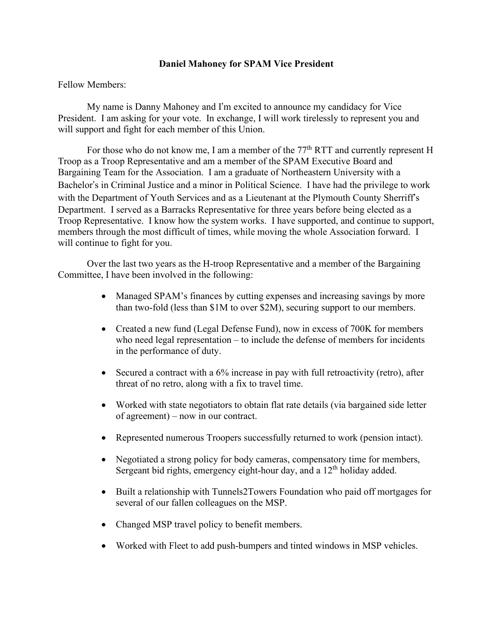## **Daniel Mahoney for SPAM Vice President**

Fellow Members:

My name is Danny Mahoney and I'm excited to announce my candidacy for Vice President. I am asking for your vote. In exchange, I will work tirelessly to represent you and will support and fight for each member of this Union.

For those who do not know me, I am a member of the  $77<sup>th</sup> RTT$  and currently represent H Troop as a Troop Representative and am a member of the SPAM Executive Board and Bargaining Team for the Association. I am a graduate of Northeastern University with a Bachelor's in Criminal Justice and a minor in Political Science. I have had the privilege to work with the Department of Youth Services and as a Lieutenant at the Plymouth County Sherriff's Department. I served as a Barracks Representative for three years before being elected as a Troop Representative. I know how the system works. I have supported, and continue to support, members through the most difficult of times, while moving the whole Association forward. I will continue to fight for you.

Over the last two years as the H-troop Representative and a member of the Bargaining Committee, I have been involved in the following:

- Managed SPAM's finances by cutting expenses and increasing savings by more than two-fold (less than \$1M to over \$2M), securing support to our members.
- Created a new fund (Legal Defense Fund), now in excess of 700K for members who need legal representation – to include the defense of members for incidents in the performance of duty.
- Secured a contract with a 6% increase in pay with full retroactivity (retro), after threat of no retro, along with a fix to travel time.
- Worked with state negotiators to obtain flat rate details (via bargained side letter of agreement) – now in our contract.
- Represented numerous Troopers successfully returned to work (pension intact).
- Negotiated a strong policy for body cameras, compensatory time for members, Sergeant bid rights, emergency eight-hour day, and a  $12<sup>th</sup>$  holiday added.
- Built a relationship with Tunnels2Towers Foundation who paid off mortgages for several of our fallen colleagues on the MSP.
- Changed MSP travel policy to benefit members.
- Worked with Fleet to add push-bumpers and tinted windows in MSP vehicles.